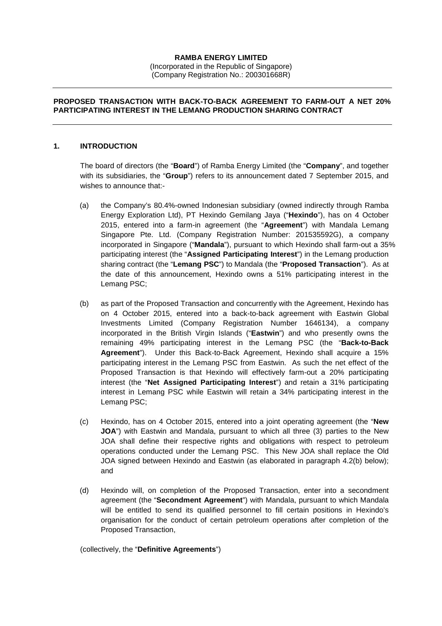# **RAMBA ENERGY LIMITED**

(Incorporated in the Republic of Singapore) (Company Registration No.: 200301668R)

#### **PROPOSED TRANSACTION WITH BACK-TO-BACK AGREEMENT TO FARM-OUT A NET 20% PARTICIPATING INTEREST IN THE LEMANG PRODUCTION SHARING CONTRACT**

### **1. INTRODUCTION**

The board of directors (the "**Board**") of Ramba Energy Limited (the "**Company**", and together with its subsidiaries, the "**Group**") refers to its announcement dated 7 September 2015, and wishes to announce that:-

- (a) the Company's 80.4%-owned Indonesian subsidiary (owned indirectly through Ramba Energy Exploration Ltd), PT Hexindo Gemilang Jaya ("**Hexindo**"), has on 4 October 2015, entered into a farm-in agreement (the "**Agreement**") with Mandala Lemang Singapore Pte. Ltd. (Company Registration Number: 201535592G), a company incorporated in Singapore ("**Mandala**"), pursuant to which Hexindo shall farm-out a 35% participating interest (the "**Assigned Participating Interest**") in the Lemang production sharing contract (the "**Lemang PSC**") to Mandala (the "**Proposed Transaction**"). As at the date of this announcement, Hexindo owns a 51% participating interest in the Lemang PSC;
- (b) as part of the Proposed Transaction and concurrently with the Agreement, Hexindo has on 4 October 2015, entered into a back-to-back agreement with Eastwin Global Investments Limited (Company Registration Number 1646134), a company incorporated in the British Virgin Islands ("**Eastwin**") and who presently owns the remaining 49% participating interest in the Lemang PSC (the "**Back-to-Back Agreement**"). Under this Back-to-Back Agreement, Hexindo shall acquire a 15% participating interest in the Lemang PSC from Eastwin. As such the net effect of the Proposed Transaction is that Hexindo will effectively farm-out a 20% participating interest (the "**Net Assigned Participating Interest**") and retain a 31% participating interest in Lemang PSC while Eastwin will retain a 34% participating interest in the Lemang PSC;
- (c) Hexindo, has on 4 October 2015, entered into a joint operating agreement (the "**New JOA**") with Eastwin and Mandala, pursuant to which all three (3) parties to the New JOA shall define their respective rights and obligations with respect to petroleum operations conducted under the Lemang PSC. This New JOA shall replace the Old JOA signed between Hexindo and Eastwin (as elaborated in paragraph 4.2(b) below); and
- (d) Hexindo will, on completion of the Proposed Transaction, enter into a secondment agreement (the "**Secondment Agreement**") with Mandala, pursuant to which Mandala will be entitled to send its qualified personnel to fill certain positions in Hexindo's organisation for the conduct of certain petroleum operations after completion of the Proposed Transaction,

(collectively, the "**Definitive Agreements**")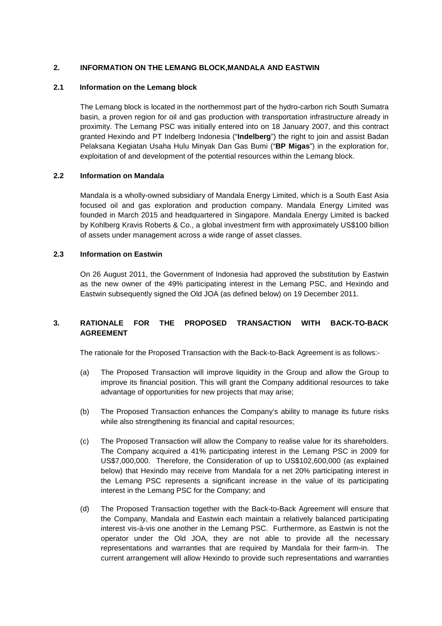# **2. INFORMATION ON THE LEMANG BLOCK,MANDALA AND EASTWIN**

### **2.1 Information on the Lemang block**

The Lemang block is located in the northernmost part of the hydro-carbon rich South Sumatra basin, a proven region for oil and gas production with transportation infrastructure already in proximity. The Lemang PSC was initially entered into on 18 January 2007, and this contract granted Hexindo and PT Indelberg Indonesia ("**Indelberg**") the right to join and assist Badan Pelaksana Kegiatan Usaha Hulu Minyak Dan Gas Bumi ("**BP Migas**") in the exploration for, exploitation of and development of the potential resources within the Lemang block.

## **2.2 Information on Mandala**

Mandala is a wholly-owned subsidiary of Mandala Energy Limited, which is a South East Asia focused oil and gas exploration and production company. Mandala Energy Limited was founded in March 2015 and headquartered in Singapore. Mandala Energy Limited is backed by Kohlberg Kravis Roberts & Co., a global investment firm with approximately US\$100 billion of assets under management across a wide range of asset classes.

## **2.3 Information on Eastwin**

On 26 August 2011, the Government of Indonesia had approved the substitution by Eastwin as the new owner of the 49% participating interest in the Lemang PSC, and Hexindo and Eastwin subsequently signed the Old JOA (as defined below) on 19 December 2011.

# **3. RATIONALE FOR THE PROPOSED TRANSACTION WITH BACK-TO-BACK AGREEMENT**

The rationale for the Proposed Transaction with the Back-to-Back Agreement is as follows:-

- (a) The Proposed Transaction will improve liquidity in the Group and allow the Group to improve its financial position. This will grant the Company additional resources to take advantage of opportunities for new projects that may arise;
- (b) The Proposed Transaction enhances the Company's ability to manage its future risks while also strengthening its financial and capital resources;
- (c) The Proposed Transaction will allow the Company to realise value for its shareholders. The Company acquired a 41% participating interest in the Lemang PSC in 2009 for US\$7,000,000. Therefore, the Consideration of up to US\$102,600,000 (as explained below) that Hexindo may receive from Mandala for a net 20% participating interest in the Lemang PSC represents a significant increase in the value of its participating interest in the Lemang PSC for the Company; and
- (d) The Proposed Transaction together with the Back-to-Back Agreement will ensure that the Company, Mandala and Eastwin each maintain a relatively balanced participating interest vis-à-vis one another in the Lemang PSC. Furthermore, as Eastwin is not the operator under the Old JOA, they are not able to provide all the necessary representations and warranties that are required by Mandala for their farm-in. The current arrangement will allow Hexindo to provide such representations and warranties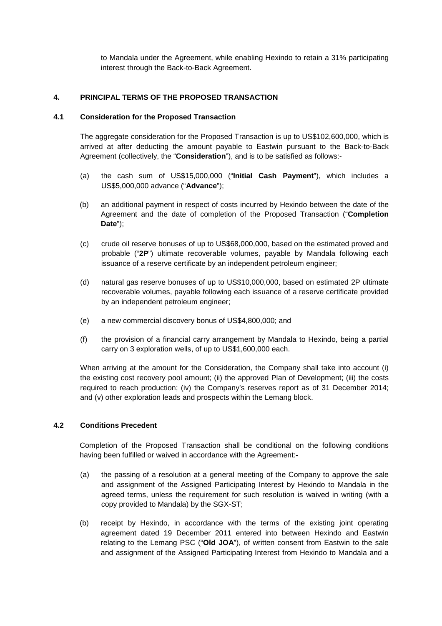to Mandala under the Agreement, while enabling Hexindo to retain a 31% participating interest through the Back-to-Back Agreement.

# **4. PRINCIPAL TERMS OF THE PROPOSED TRANSACTION**

### **4.1 Consideration for the Proposed Transaction**

The aggregate consideration for the Proposed Transaction is up to US\$102,600,000, which is arrived at after deducting the amount payable to Eastwin pursuant to the Back-to-Back Agreement (collectively, the "**Consideration**"), and is to be satisfied as follows:-

- (a) the cash sum of US\$15,000,000 ("**Initial Cash Payment**"), which includes a US\$5,000,000 advance ("**Advance**");
- (b) an additional payment in respect of costs incurred by Hexindo between the date of the Agreement and the date of completion of the Proposed Transaction ("**Completion Date**");
- (c) crude oil reserve bonuses of up to US\$68,000,000, based on the estimated proved and probable ("**2P**") ultimate recoverable volumes, payable by Mandala following each issuance of a reserve certificate by an independent petroleum engineer;
- (d) natural gas reserve bonuses of up to US\$10,000,000, based on estimated 2P ultimate recoverable volumes, payable following each issuance of a reserve certificate provided by an independent petroleum engineer;
- (e) a new commercial discovery bonus of US\$4,800,000; and
- (f) the provision of a financial carry arrangement by Mandala to Hexindo, being a partial carry on 3 exploration wells, of up to US\$1,600,000 each.

When arriving at the amount for the Consideration, the Company shall take into account (i) the existing cost recovery pool amount; (ii) the approved Plan of Development; (iii) the costs required to reach production; (iv) the Company's reserves report as of 31 December 2014; and (v) other exploration leads and prospects within the Lemang block.

# **4.2 Conditions Precedent**

Completion of the Proposed Transaction shall be conditional on the following conditions having been fulfilled or waived in accordance with the Agreement:-

- (a) the passing of a resolution at a general meeting of the Company to approve the sale and assignment of the Assigned Participating Interest by Hexindo to Mandala in the agreed terms, unless the requirement for such resolution is waived in writing (with a copy provided to Mandala) by the SGX-ST;
- (b) receipt by Hexindo, in accordance with the terms of the existing joint operating agreement dated 19 December 2011 entered into between Hexindo and Eastwin relating to the Lemang PSC ("**Old JOA**"), of written consent from Eastwin to the sale and assignment of the Assigned Participating Interest from Hexindo to Mandala and a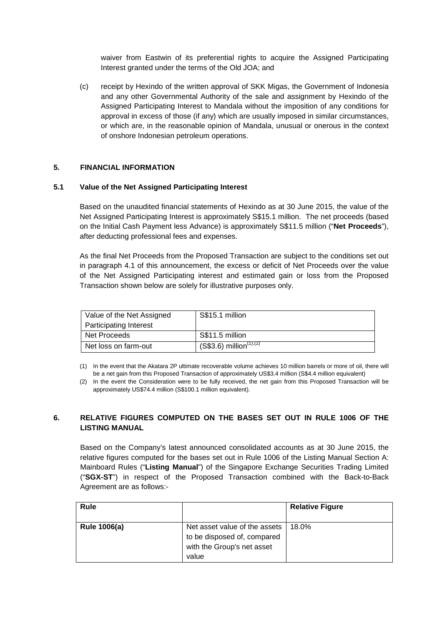waiver from Eastwin of its preferential rights to acquire the Assigned Participating Interest granted under the terms of the Old JOA; and

(c) receipt by Hexindo of the written approval of SKK Migas, the Government of Indonesia and any other Governmental Authority of the sale and assignment by Hexindo of the Assigned Participating Interest to Mandala without the imposition of any conditions for approval in excess of those (if any) which are usually imposed in similar circumstances, or which are, in the reasonable opinion of Mandala, unusual or onerous in the context of onshore Indonesian petroleum operations.

# **5. FINANCIAL INFORMATION**

## **5.1 Value of the Net Assigned Participating Interest**

Based on the unaudited financial statements of Hexindo as at 30 June 2015, the value of the Net Assigned Participating Interest is approximately S\$15.1 million. The net proceeds (based on the Initial Cash Payment less Advance) is approximately S\$11.5 million ("**Net Proceeds**"), after deducting professional fees and expenses.

As the final Net Proceeds from the Proposed Transaction are subject to the conditions set out in paragraph 4.1 of this announcement, the excess or deficit of Net Proceeds over the value of the Net Assigned Participating interest and estimated gain or loss from the Proposed Transaction shown below are solely for illustrative purposes only.

| Value of the Net Assigned | S\$15.1 million                                    |
|---------------------------|----------------------------------------------------|
| Participating Interest    |                                                    |
| Net Proceeds              | S\$11.5 million                                    |
| Net loss on farm-out      | $(S$3.6)$ million <sup><math>(1), (2)</math></sup> |

(1) In the event that the Akatara 2P ultimate recoverable volume achieves 10 million barrels or more of oil, there will be a net gain from this Proposed Transaction of approximately US\$3.4 million (S\$4.4 million equivalent)

(2) In the event the Consideration were to be fully received, the net gain from this Proposed Transaction will be approximately US\$74.4 million (S\$100.1 million equivalent).

# **6. RELATIVE FIGURES COMPUTED ON THE BASES SET OUT IN RULE 1006 OF THE LISTING MANUAL**

Based on the Company's latest announced consolidated accounts as at 30 June 2015, the relative figures computed for the bases set out in Rule 1006 of the Listing Manual Section A: Mainboard Rules ("**Listing Manual**") of the Singapore Exchange Securities Trading Limited ("**SGX-ST**") in respect of the Proposed Transaction combined with the Back-to-Back Agreement are as follows:-

| Rule                |                                                                                                     | <b>Relative Figure</b> |
|---------------------|-----------------------------------------------------------------------------------------------------|------------------------|
| <b>Rule 1006(a)</b> | Net asset value of the assets<br>to be disposed of, compared<br>with the Group's net asset<br>value | 18.0%                  |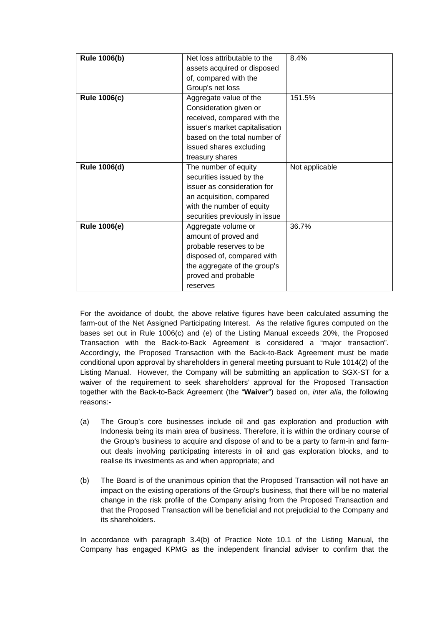| <b>Rule 1006(b)</b> | Net loss attributable to the   | 8.4%           |
|---------------------|--------------------------------|----------------|
|                     | assets acquired or disposed    |                |
|                     | of, compared with the          |                |
|                     | Group's net loss               |                |
| <b>Rule 1006(c)</b> | Aggregate value of the         | 151.5%         |
|                     | Consideration given or         |                |
|                     | received, compared with the    |                |
|                     | issuer's market capitalisation |                |
|                     | based on the total number of   |                |
|                     | issued shares excluding        |                |
|                     | treasury shares                |                |
| Rule 1006(d)        | The number of equity           | Not applicable |
|                     | securities issued by the       |                |
|                     | issuer as consideration for    |                |
|                     | an acquisition, compared       |                |
|                     | with the number of equity      |                |
|                     | securities previously in issue |                |
| <b>Rule 1006(e)</b> | Aggregate volume or            | 36.7%          |
|                     | amount of proved and           |                |
|                     | probable reserves to be        |                |
|                     | disposed of, compared with     |                |
|                     | the aggregate of the group's   |                |
|                     | proved and probable            |                |
|                     | reserves                       |                |

For the avoidance of doubt, the above relative figures have been calculated assuming the farm-out of the Net Assigned Participating Interest. As the relative figures computed on the bases set out in Rule 1006(c) and (e) of the Listing Manual exceeds 20%, the Proposed Transaction with the Back-to-Back Agreement is considered a "major transaction". Accordingly, the Proposed Transaction with the Back-to-Back Agreement must be made conditional upon approval by shareholders in general meeting pursuant to Rule 1014(2) of the Listing Manual. However, the Company will be submitting an application to SGX-ST for a waiver of the requirement to seek shareholders' approval for the Proposed Transaction together with the Back-to-Back Agreement (the "**Waiver**") based on, inter alia, the following reasons:-

- (a) The Group's core businesses include oil and gas exploration and production with Indonesia being its main area of business. Therefore, it is within the ordinary course of the Group's business to acquire and dispose of and to be a party to farm-in and farmout deals involving participating interests in oil and gas exploration blocks, and to realise its investments as and when appropriate; and
- (b) The Board is of the unanimous opinion that the Proposed Transaction will not have an impact on the existing operations of the Group's business, that there will be no material change in the risk profile of the Company arising from the Proposed Transaction and that the Proposed Transaction will be beneficial and not prejudicial to the Company and its shareholders.

In accordance with paragraph 3.4(b) of Practice Note 10.1 of the Listing Manual, the Company has engaged KPMG as the independent financial adviser to confirm that the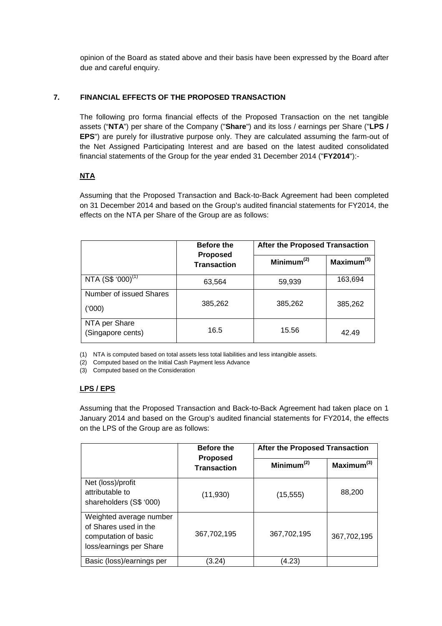opinion of the Board as stated above and their basis have been expressed by the Board after due and careful enquiry.

# **7. FINANCIAL EFFECTS OF THE PROPOSED TRANSACTION**

The following pro forma financial effects of the Proposed Transaction on the net tangible assets ("**NTA**") per share of the Company ("**Share**") and its loss / earnings per Share ("**LPS / EPS**") are purely for illustrative purpose only. They are calculated assuming the farm-out of the Net Assigned Participating Interest and are based on the latest audited consolidated financial statements of the Group for the year ended 31 December 2014 ("**FY2014**"):-

# **NTA**

Assuming that the Proposed Transaction and Back-to-Back Agreement had been completed on 31 December 2014 and based on the Group's audited financial statements for FY2014, the effects on the NTA per Share of the Group are as follows:

|                                    | <b>Before the</b><br><b>Proposed</b><br><b>Transaction</b> | <b>After the Proposed Transaction</b> |                        |
|------------------------------------|------------------------------------------------------------|---------------------------------------|------------------------|
|                                    |                                                            | Minimum $(2)$                         | Maximum <sup>(3)</sup> |
| NTA $(S$^{(000)}$                  | 63,564                                                     | 59,939                                | 163,694                |
| Number of issued Shares<br>('000)  | 385,262                                                    | 385,262                               | 385,262                |
| NTA per Share<br>(Singapore cents) | 16.5                                                       | 15.56                                 | 42.49                  |

(1) NTA is computed based on total assets less total liabilities and less intangible assets.

(2) Computed based on the Initial Cash Payment less Advance

(3) Computed based on the Consideration

# **LPS / EPS**

Assuming that the Proposed Transaction and Back-to-Back Agreement had taken place on 1 January 2014 and based on the Group's audited financial statements for FY2014, the effects on the LPS of the Group are as follows:

|                                                                                                     | <b>Before the</b><br><b>Proposed</b><br><b>Transaction</b> | <b>After the Proposed Transaction</b> |                        |
|-----------------------------------------------------------------------------------------------------|------------------------------------------------------------|---------------------------------------|------------------------|
|                                                                                                     |                                                            | Minimum <sup>(2)</sup>                | Maximum <sup>(3)</sup> |
| Net (loss)/profit<br>attributable to<br>shareholders (S\$ '000)                                     | (11, 930)                                                  | (15, 555)                             | 88,200                 |
| Weighted average number<br>of Shares used in the<br>computation of basic<br>loss/earnings per Share | 367,702,195                                                | 367,702,195                           | 367,702,195            |
| Basic (loss)/earnings per                                                                           | (3.24)                                                     | (4.23)                                |                        |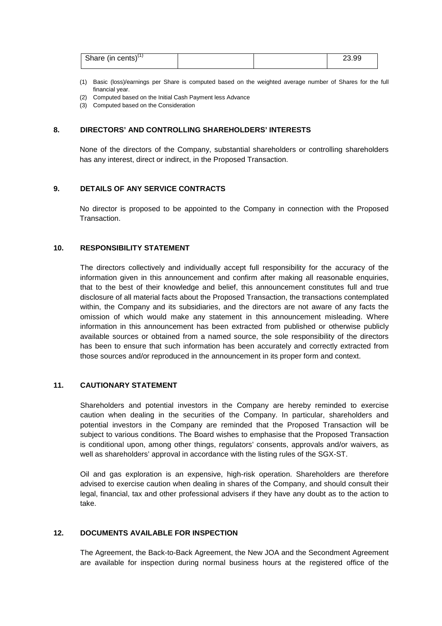| Share (in cents) $(1)$ |  | 23.99 |
|------------------------|--|-------|
|                        |  |       |

- (1) Basic (loss)/earnings per Share is computed based on the weighted average number of Shares for the full financial year.
- (2) Computed based on the Initial Cash Payment less Advance
- (3) Computed based on the Consideration

### **8. DIRECTORS' AND CONTROLLING SHAREHOLDERS' INTERESTS**

None of the directors of the Company, substantial shareholders or controlling shareholders has any interest, direct or indirect, in the Proposed Transaction.

#### **9. DETAILS OF ANY SERVICE CONTRACTS**

No director is proposed to be appointed to the Company in connection with the Proposed Transaction.

# **10. RESPONSIBILITY STATEMENT**

The directors collectively and individually accept full responsibility for the accuracy of the information given in this announcement and confirm after making all reasonable enquiries, that to the best of their knowledge and belief, this announcement constitutes full and true disclosure of all material facts about the Proposed Transaction, the transactions contemplated within, the Company and its subsidiaries, and the directors are not aware of any facts the omission of which would make any statement in this announcement misleading. Where information in this announcement has been extracted from published or otherwise publicly available sources or obtained from a named source, the sole responsibility of the directors has been to ensure that such information has been accurately and correctly extracted from those sources and/or reproduced in the announcement in its proper form and context.

## **11. CAUTIONARY STATEMENT**

Shareholders and potential investors in the Company are hereby reminded to exercise caution when dealing in the securities of the Company. In particular, shareholders and potential investors in the Company are reminded that the Proposed Transaction will be subject to various conditions. The Board wishes to emphasise that the Proposed Transaction is conditional upon, among other things, regulators' consents, approvals and/or waivers, as well as shareholders' approval in accordance with the listing rules of the SGX-ST.

Oil and gas exploration is an expensive, high-risk operation. Shareholders are therefore advised to exercise caution when dealing in shares of the Company, and should consult their legal, financial, tax and other professional advisers if they have any doubt as to the action to take.

## **12. DOCUMENTS AVAILABLE FOR INSPECTION**

The Agreement, the Back-to-Back Agreement, the New JOA and the Secondment Agreement are available for inspection during normal business hours at the registered office of the